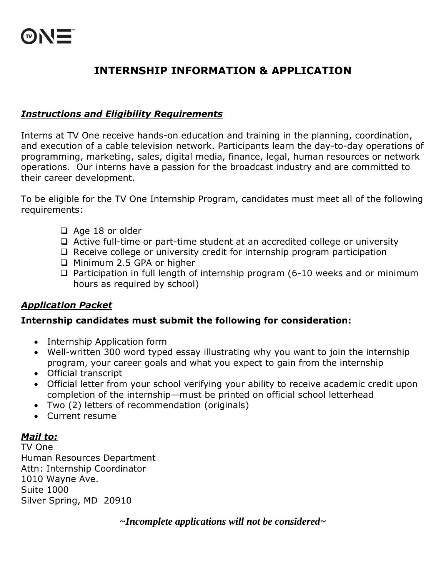# **INTERNSHIP INFORMATION & APPLICATION**

## *Instructions and Eligibility Requirements*

Interns at TV One receive hands-on education and training in the planning, coordination, and execution of a cable television network. Participants learn the day-to-day operations of programming, marketing, sales, digital media, finance, legal, human resources or network operations. Our interns have a passion for the broadcast industry and are committed to their career development.

To be eligible for the TV One Internship Program, candidates must meet all of the following requirements:

- □ Age 18 or older
- $\Box$  Active full-time or part-time student at an accredited college or university
- $\Box$  Receive college or university credit for internship program participation
- □ Minimum 2.5 GPA or higher
- $\Box$  Participation in full length of internship program (6-10 weeks and or minimum hours as required by school)

### *Application Packet*

#### **Internship candidates must submit the following for consideration:**

- Internship Application form
- Well-written 300 word typed essay illustrating why you want to join the internship program, your career goals and what you expect to gain from the internship
- Official transcript
- Official letter from your school verifying your ability to receive academic credit upon completion of the internship—must be printed on official school letterhead
- Two (2) letters of recommendation (originals)
- Current resume

### *Mail to:*

TV One Human Resources Department Attn: Internship Coordinator 1010 Wayne Ave. Suite 1000 Silver Spring, MD 20910

*~Incomplete applications will not be considered~*